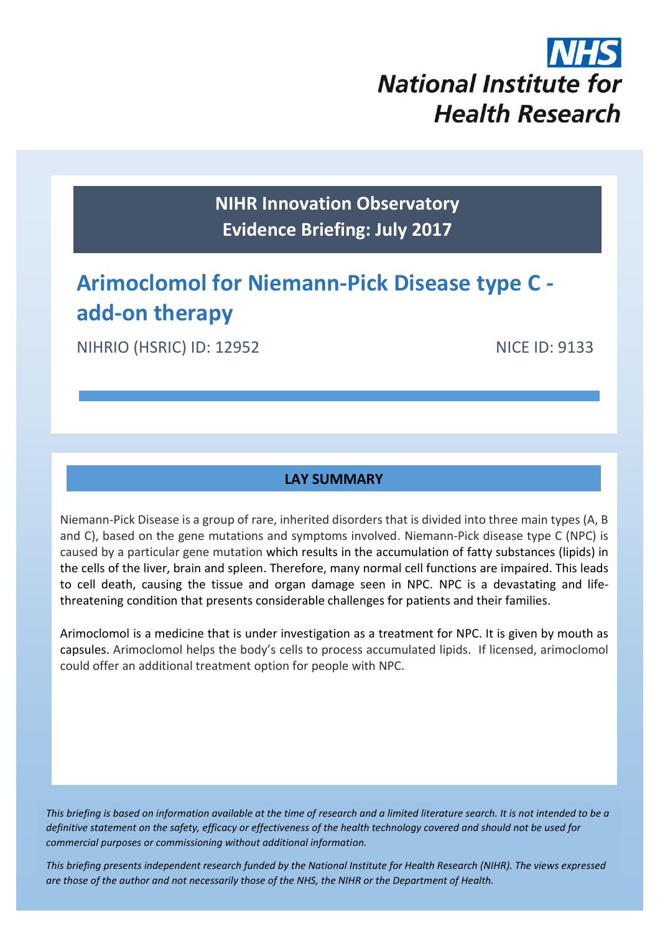# **National Institute for Health Research**

**NIHR Innovation Observatory Evidence Briefing: July 2017**

# **Arimoclomol for Niemann-Pick Disease type C add-on therapy**

NIHRIO (HSRIC) ID: 12952 NICE ID: 9133

#### **LAY SUMMARY**

Niemann-Pick Disease is a group of rare, inherited disorders that is divided into three main types (A, B and C), based on the gene mutations and symptoms involved. Niemann-Pick disease type C (NPC) is caused by a particular gene mutation which results in the accumulation of fatty substances (lipids) in the cells of the liver, brain and spleen. Therefore, many normal cell functions are impaired. This leads to cell death, causing the tissue and organ damage seen in NPC. NPC is a devastating and lifethreatening condition that presents considerable challenges for patients and their families.

Arimoclomol is a medicine that is under investigation as a treatment for NPC. It is given by mouth as capsules. Arimoclomol helps the body's cells to process accumulated lipids. If licensed, arimoclomol could offer an additional treatment option for people with NPC.

*This briefing is based on information available at the time of research and a limited literature search. It is not intended to be a definitive statement on the safety, efficacy or effectiveness of the health technology covered and should not be used for commercial purposes or commissioning without additional information.*

1 *This briefing presents independent research funded by the National Institute for Health Research (NIHR). The views expressed are those of the author and not necessarily those of the NHS, the NIHR or the Department of Health.*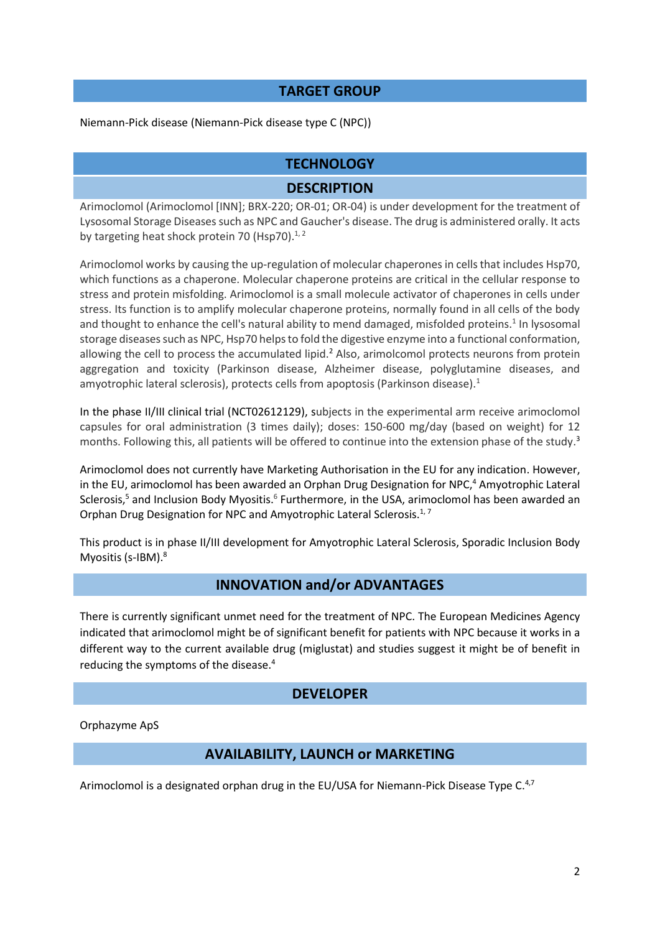#### **TARGET GROUP**

Niemann-Pick disease (Niemann-Pick disease type C (NPC))

#### **TECHNOLOGY**

#### <span id="page-1-1"></span><span id="page-1-0"></span>**DESCRIPTION**

Arimoclomol (Arimoclomol [INN]; BRX-220; OR-01; OR-04) is under development for the treatment of Lysosomal Storage Diseases such as NPC and Gaucher's disease. The drug is administered orally. It acts by targeting heat shock protein 70 (Hsp70).<sup>1,2</sup>

Arimoclomol works by causing the up-regulation of molecular chaperones in cellsthat includes Hsp70, which functions as a chaperone. Molecular chaperone proteins are critical in the cellular response to stress and protein misfolding. Arimoclomol is a small molecule activator of chaperones in cells under stress. Its function is to amplify molecular chaperone proteins, normally found in all cells of the body and thought to enhance the cell's natural ability to mend damaged, misfolded proteins.<sup>[1](#page-1-0)</sup> In lysosomal storage diseases such as NPC, Hsp70 helps to fold the digestive enzyme into a functional conformation, allowing the cell to process the accumulated lipid.<sup>[2](#page-1-1)</sup> Also, arimolcomol protects neurons from protein aggregation and toxicity (Parkinson disease, Alzheimer disease, polyglutamine diseases, and amyotrophic lateral sclerosis), protects cells from apoptosis (Parkinson disease)[.](#page-1-0)<sup>1</sup>

In the phase II/III clinical trial (NCT02612129), subjects in the experimental arm receive arimoclomol capsules for oral administration (3 times daily); doses: 150-600 mg/day (based on weight) for 12 months. Following this, all patients will be offered to continue into the extension phase of the study.<sup>3</sup>

Arimoclomol does not currently have Marketing Authorisation in the EU for any indication. However, in the EU, arimoclomol has been awarded an Orphan Drug Designation for NPC, <sup>4</sup> Amyotrophic Lateral Sclerosis,<sup>5</sup> and Inclusion Body Myositis.<sup>6</sup> Furthermore, in the USA, arimoclomol has been awarded an Orphan Drug Designation for NPC and Amyotrophic Lateral Sclerosis.<sup>1,7</sup>

This product is in phase II/III development for Amyotrophic Lateral Sclerosis, Sporadic Inclusion Body Myositis (s-IBM). 8

#### <span id="page-1-3"></span><span id="page-1-2"></span>**INNOVATION and/or ADVANTAGES**

There is currently significant unmet need for the treatment of NPC. The European Medicines Agency indicated that arimoclomol might be of significant benefit for patients with NPC because it works in a different way to the current available drug (miglustat) and studies suggest it might be of benefit in reducing the symptoms of the disease.[4](#page-1-2)

#### <span id="page-1-4"></span>**DEVELOPER**

Orphazyme ApS

#### **AVAILABILITY, LAUNCH or MARKETING**

Arimoclomol is a designated orphan drug in the EU/USA for Niemann-Pick Disease Type C.<sup>[4,](#page-1-2)[7](#page-1-3)</sup>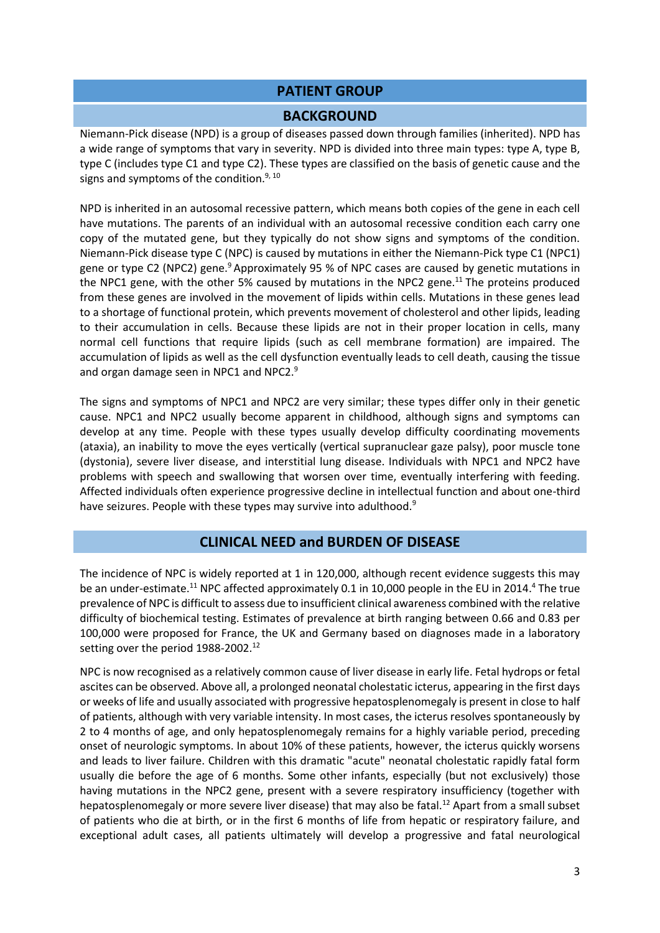#### **PATIENT GROUP**

#### <span id="page-2-1"></span><span id="page-2-0"></span>**BACKGROUND**

Niemann-Pick disease (NPD) is a group of diseases passed down through families (inherited). NPD has a wide range of symptoms that vary in severity. NPD is divided into three main types: type A, type B, type C (includes type C1 and type C2). These types are classified on the basis of genetic cause and the signs and symptoms of the condition. $9,10$ 

NPD is inherited in an autosomal recessive pattern, which means both copies of the gene in each cell have mutations. The parents of an individual with an autosomal recessive condition each carry one copy of the mutated gene, but they typically do not show signs and symptoms of the condition. Niemann-Pick disease type C (NPC) is caused by mutations in either the Niemann-Pick type C1 (NPC1) gene or type C2 (NPC2) gene[.](#page-2-0)<sup>9</sup> Approximately 95 % of NPC cases are caused by genetic mutations in the NPC1 gene, with the other 5% caused by mutations in the NPC2 gene.<sup>11</sup> The proteins produced from these genes are involved in the movement of lipids within cells. Mutations in these genes lead to a shortage of functional protein, which prevents movement of cholesterol and other lipids, leading to their accumulation in cells. Because these lipids are not in their proper location in cells, many normal cell functions that require lipids (such as cell membrane formation) are impaired. The accumulation of lipids as well as the cell dysfunction eventually leads to cell death, causing the tissue and organ damage seen in NPC1 and NPC2[.](#page-2-0)<sup>9</sup>

The signs and symptoms of NPC1 and NPC2 are very similar; these types differ only in their genetic cause. NPC1 and NPC2 usually become apparent in childhood, although signs and symptoms can develop at any time. People with these types usually develop difficulty coordinating movements (ataxia), an inability to move the eyes vertically (vertical supranuclear gaze palsy), poor muscle tone (dystonia), severe liver disease, and interstitial lung disease. Individuals with NPC1 and NPC2 have problems with speech and swallowing that worsen over time, eventually interfering with feeding. Affected individuals often experience progressive decline in intellectual function and about one-third have seizures. People with these types may survive into adulthood.<sup>[9](#page-2-0)</sup>

#### <span id="page-2-2"></span>**CLINICAL NEED and BURDEN OF DISEASE**

The incidence of NPC is widely reported at 1 in 120,000, although recent evidence suggests this may be an under-estimate.<sup>[11](#page-2-1)</sup> NPC affected approximately 0.1 in 10,000 people in the EU in 201[4.](#page-1-2)<sup>4</sup> The true prevalence of NPC is difficult to assess due to insufficient clinical awareness combined with the relative difficulty of biochemical testing. Estimates of prevalence at birth ranging between 0.66 and 0.83 per 100,000 were proposed for France, the UK and Germany based on diagnoses made in a laboratory setting over the period 1988-2002.<sup>12</sup>

NPC is now recognised as a relatively common cause of liver disease in early life. Fetal hydrops or fetal ascites can be observed. Above all, a prolonged neonatal cholestatic icterus, appearing in the first days or weeks of life and usually associated with progressive hepatosplenomegaly is present in close to half of patients, although with very variable intensity. In most cases, the icterus resolves spontaneously by 2 to 4 months of age, and only hepatosplenomegaly remains for a highly variable period, preceding onset of neurologic symptoms. In about 10% of these patients, however, the icterus quickly worsens and leads to liver failure. Children with this dramatic "acute" neonatal cholestatic rapidly fatal form usually die before the age of 6 months. Some other infants, especially (but not exclusively) those having mutations in the NPC2 gene, present with a severe respiratory insufficiency (together with hepatosplenomegaly or more severe liver disease) that may also be fatal.<sup>[12](#page-2-2)</sup> Apart from a small subset of patients who die at birth, or in the first 6 months of life from hepatic or respiratory failure, and exceptional adult cases, all patients ultimately will develop a progressive and fatal neurological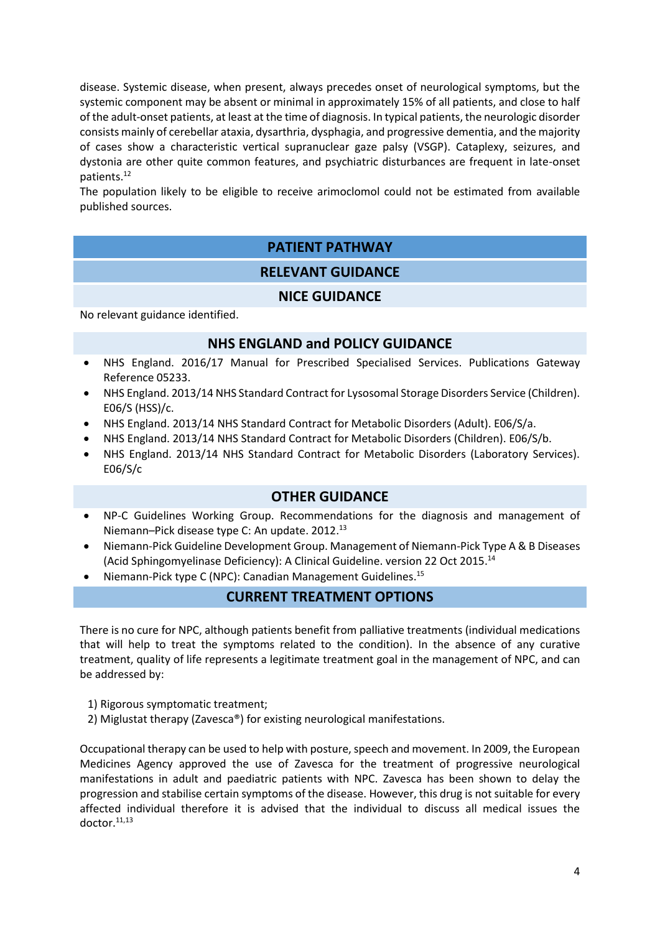disease. Systemic disease, when present, always precedes onset of neurological symptoms, but the systemic component may be absent or minimal in approximately 15% of all patients, and close to half of the adult-onset patients, at least at the time of diagnosis. In typical patients, the neurologic disorder consists mainly of cerebellar ataxia, dysarthria, dysphagia, and progressive dementia, and the majority of cases show a characteristic vertical supranuclear gaze palsy (VSGP). Cataplexy, seizures, and dystonia are other quite common features, and psychiatric disturbances are frequent in late-onset patients.[12](#page-2-2)

The population likely to be eligible to receive arimoclomol could not be estimated from available published sources.

### **PATIENT PATHWAY RELEVANT GUIDANCE**

# **NICE GUIDANCE**

No relevant guidance identified.

#### **NHS ENGLAND and POLICY GUIDANCE**

- NHS England. 2016/17 Manual for Prescribed Specialised Services. Publications Gateway Reference 05233.
- NHS England. 2013/14 NHS Standard Contract for Lysosomal Storage Disorders Service (Children). E06/S (HSS)/c.
- NHS England. 2013/14 NHS Standard Contract for Metabolic Disorders (Adult). E06/S/a.
- NHS England. 2013/14 NHS Standard Contract for Metabolic Disorders (Children). E06/S/b.
- NHS England. 2013/14 NHS Standard Contract for Metabolic Disorders (Laboratory Services). E06/S/c

#### <span id="page-3-0"></span>**OTHER GUIDANCE**

- NP-C Guidelines Working Group. Recommendations for the diagnosis and management of Niemann–Pick disease type C: An update. 2012. 13
- Niemann-Pick Guideline Development Group. Management of Niemann-Pick Type A & B Diseases (Acid Sphingomyelinase Deficiency): A Clinical Guideline. version 22 Oct 2015. 14
- Niemann-Pick type C (NPC): Canadian Management Guidelines.<sup>15</sup>

#### **CURRENT TREATMENT OPTIONS**

There is no cure for NPC, although patients benefit from palliative treatments (individual medications that will help to treat the symptoms related to the condition). In the absence of any curative treatment, quality of life represents a legitimate treatment goal in the management of NPC, and can be addressed by:

- 1) Rigorous symptomatic treatment;
- 2) Miglustat therapy (Zavesca®) for existing neurological manifestations.

Occupational therapy can be used to help with posture, speech and movement. In 2009, the European Medicines Agency approved the use of Zavesca for the treatment of progressive neurological manifestations in adult and paediatric patients with NPC. Zavesca has been shown to delay the progression and stabilise certain symptoms of the disease. However, this drug is not suitable for every affected individual therefore it is advised that the individual to discuss all medical issues the doctor.[11,](#page-2-1)[13](#page-3-0)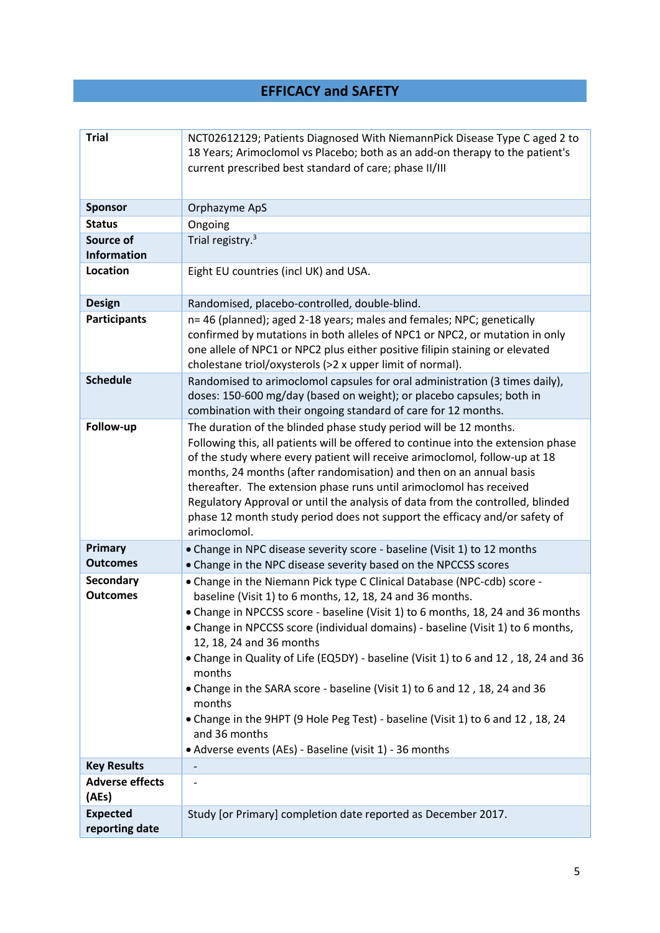## **EFFICACY and SAFETY**

| <b>Trial</b>                                       | NCT02612129; Patients Diagnosed With NiemannPick Disease Type C aged 2 to<br>18 Years; Arimoclomol vs Placebo; both as an add-on therapy to the patient's<br>current prescribed best standard of care; phase II/III                                                                                                                                                                                                                                                                                                                                                                                                                                                                            |
|----------------------------------------------------|------------------------------------------------------------------------------------------------------------------------------------------------------------------------------------------------------------------------------------------------------------------------------------------------------------------------------------------------------------------------------------------------------------------------------------------------------------------------------------------------------------------------------------------------------------------------------------------------------------------------------------------------------------------------------------------------|
| <b>Sponsor</b>                                     | Orphazyme ApS                                                                                                                                                                                                                                                                                                                                                                                                                                                                                                                                                                                                                                                                                  |
| <b>Status</b>                                      | Ongoing                                                                                                                                                                                                                                                                                                                                                                                                                                                                                                                                                                                                                                                                                        |
| Source of                                          | Trial registry. <sup>3</sup>                                                                                                                                                                                                                                                                                                                                                                                                                                                                                                                                                                                                                                                                   |
| <b>Information</b>                                 |                                                                                                                                                                                                                                                                                                                                                                                                                                                                                                                                                                                                                                                                                                |
| Location                                           | Eight EU countries (incl UK) and USA.                                                                                                                                                                                                                                                                                                                                                                                                                                                                                                                                                                                                                                                          |
| <b>Design</b>                                      | Randomised, placebo-controlled, double-blind.                                                                                                                                                                                                                                                                                                                                                                                                                                                                                                                                                                                                                                                  |
| <b>Participants</b>                                | n= 46 (planned); aged 2-18 years; males and females; NPC; genetically<br>confirmed by mutations in both alleles of NPC1 or NPC2, or mutation in only<br>one allele of NPC1 or NPC2 plus either positive filipin staining or elevated<br>cholestane triol/oxysterols (>2 x upper limit of normal).                                                                                                                                                                                                                                                                                                                                                                                              |
| <b>Schedule</b>                                    | Randomised to arimoclomol capsules for oral administration (3 times daily),<br>doses: 150-600 mg/day (based on weight); or placebo capsules; both in<br>combination with their ongoing standard of care for 12 months.                                                                                                                                                                                                                                                                                                                                                                                                                                                                         |
| Follow-up                                          | The duration of the blinded phase study period will be 12 months.<br>Following this, all patients will be offered to continue into the extension phase<br>of the study where every patient will receive arimoclomol, follow-up at 18<br>months, 24 months (after randomisation) and then on an annual basis<br>thereafter. The extension phase runs until arimoclomol has received<br>Regulatory Approval or until the analysis of data from the controlled, blinded<br>phase 12 month study period does not support the efficacy and/or safety of<br>arimoclomol.                                                                                                                             |
| Primary<br><b>Outcomes</b>                         | • Change in NPC disease severity score - baseline (Visit 1) to 12 months<br>• Change in the NPC disease severity based on the NPCCSS scores                                                                                                                                                                                                                                                                                                                                                                                                                                                                                                                                                    |
| Secondary<br><b>Outcomes</b><br><b>Key Results</b> | . Change in the Niemann Pick type C Clinical Database (NPC-cdb) score -<br>baseline (Visit 1) to 6 months, 12, 18, 24 and 36 months.<br>• Change in NPCCSS score - baseline (Visit 1) to 6 months, 18, 24 and 36 months<br>• Change in NPCCSS score (individual domains) - baseline (Visit 1) to 6 months,<br>12, 18, 24 and 36 months<br>• Change in Quality of Life (EQ5DY) - baseline (Visit 1) to 6 and 12, 18, 24 and 36<br>months<br>• Change in the SARA score - baseline (Visit 1) to 6 and 12, 18, 24 and 36<br>months<br>• Change in the 9HPT (9 Hole Peg Test) - baseline (Visit 1) to 6 and 12, 18, 24<br>and 36 months<br>• Adverse events (AEs) - Baseline (visit 1) - 36 months |
| <b>Adverse effects</b>                             |                                                                                                                                                                                                                                                                                                                                                                                                                                                                                                                                                                                                                                                                                                |
| (AEs)                                              |                                                                                                                                                                                                                                                                                                                                                                                                                                                                                                                                                                                                                                                                                                |
| <b>Expected</b><br>reporting date                  | Study [or Primary] completion date reported as December 2017.                                                                                                                                                                                                                                                                                                                                                                                                                                                                                                                                                                                                                                  |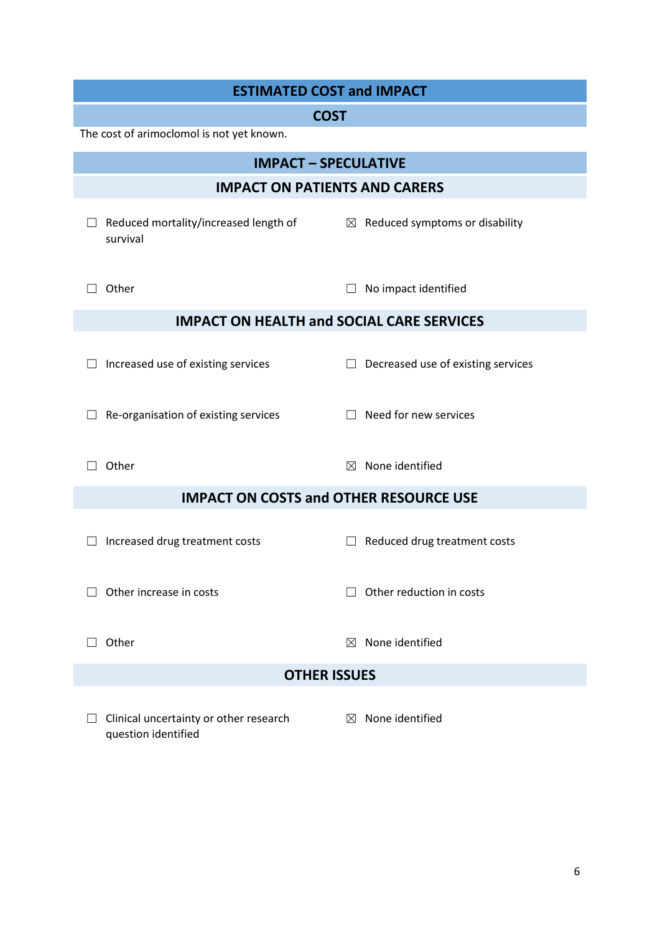| <b>ESTIMATED COST and IMPACT</b>                              |                                              |  |  |
|---------------------------------------------------------------|----------------------------------------------|--|--|
| <b>COST</b>                                                   |                                              |  |  |
| The cost of arimoclomol is not yet known.                     |                                              |  |  |
| <b>IMPACT - SPECULATIVE</b>                                   |                                              |  |  |
| <b>IMPACT ON PATIENTS AND CARERS</b>                          |                                              |  |  |
| Reduced mortality/increased length of<br>survival             | $\boxtimes$ Reduced symptoms or disability   |  |  |
| Other                                                         | No impact identified                         |  |  |
| <b>IMPACT ON HEALTH and SOCIAL CARE SERVICES</b>              |                                              |  |  |
| Increased use of existing services                            | Decreased use of existing services<br>$\Box$ |  |  |
| Re-organisation of existing services                          | $\Box$ Need for new services                 |  |  |
| Other                                                         | None identified<br>$\boxtimes$               |  |  |
| <b>IMPACT ON COSTS and OTHER RESOURCE USE</b>                 |                                              |  |  |
| Increased drug treatment costs                                | Reduced drug treatment costs                 |  |  |
| Other increase in costs                                       | Other reduction in costs                     |  |  |
| Other                                                         | None identified<br>$\bowtie$                 |  |  |
| <b>OTHER ISSUES</b>                                           |                                              |  |  |
| Clinical uncertainty or other research<br>question identified | $\boxtimes$ None identified                  |  |  |